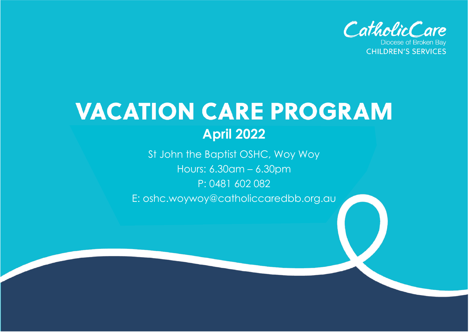

# **VACATION CARE PROGRAM April 2022**

St John the Baptist OSHC, Woy Woy Hours: 6.30am – 6.30pm P: 0481 602 082 E: oshc.woywoy@catholiccaredbb.org.au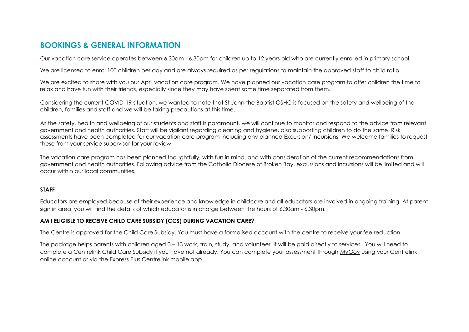### **BOOKINGS & GENERAL INFORMATION**

Our vacation care service operates between 6.30am - 6.30pm for children up to 12 years old who are currently enrolled in primary school.

We are licensed to enrol 100 children per day and are always required as per regulations to maintain the approved staff to child ratio.

We are excited to share with you our April vacation care program. We have planned our vacation care program to offer children the time to relax and have fun with their friends, especially since they may have spent some time separated from them.

Considering the current COVID-19 situation, we wanted to note that St John the Baptist OSHC is focused on the safety and wellbeing of the children, families and staff and we will be taking precautions at this time.

As the safety, health and wellbeing of our students and staff is paramount, we will continue to monitor and respond to the advice from relevant government and health authorities. Staff will be vigilant regarding cleaning and hygiene, also supporting children to do the same. Risk assessments have been completed for our vacation care program including any planned Excursion/ incursions. We welcome families to request these from your service supervisor for your review.

The vacation care program has been planned thoughtfully, with fun in mind, and with consideration of the current recommendations from government and health authorities. Following advice from the Catholic Diocese of Broken Bay, excursions and incursions will be limited and will occur within our local communities.

#### **STAFF**

Educators are employed because of their experience and knowledge in childcare and all educators are involved in ongoing training. At parent sign in area, you will find the details of which educator is in charge between the hours of 6.30am - 6.30pm.

#### **AM I ELIGIBLE TO RECEIVE CHILD CARE SUBSIDY (CCS) DURING VACATION CARE?**

The Centre is approved for the Child Care Subsidy. You must have a formalised account with the centre to receive your fee reduction.

The package helps parents with children aged 0 – 13 work, train, study, and volunteer. It will be paid directly to services. You will need to complete a Centrelink Child Care Subsidy if you have not already. You can complete your assessment through [MyGov](https://my.gov.au/LoginServices/main/login?execution=e1s1) using your Centrelink online account or via the Express Plus Centrelink mobile app.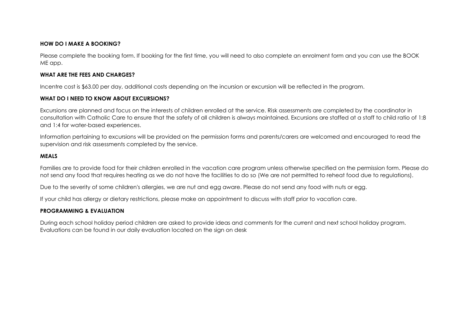#### **HOW DO I MAKE A BOOKING?**

Please complete the booking form. If booking for the first time, you will need to also complete an enrolment form and you can use the BOOK ME app.

#### **WHAT ARE THE FEES AND CHARGES?**

Incentre cost is \$63.00 per day, additional costs depending on the incursion or excursion will be reflected in the program.

#### **WHAT DO I NEED TO KNOW ABOUT EXCURSIONS?**

Excursions are planned and focus on the interests of children enrolled at the service. Risk assessments are completed by the coordinator in consultation with Catholic Care to ensure that the safety of all children is always maintained. Excursions are staffed at a staff to child ratio of 1:8 and 1:4 for water-based experiences.

Information pertaining to excursions will be provided on the permission forms and parents/carers are welcomed and encouraged to read the supervision and risk assessments completed by the service.

#### **MEALS**

Families are to provide food for their children enrolled in the vacation care program unless otherwise specified on the permission form. Please do not send any food that requires heating as we do not have the facilities to do so (We are not permitted to reheat food due to regulations).

Due to the severity of some children's allergies, we are nut and egg aware. Please do not send any food with nuts or egg.

If your child has allergy or dietary restrictions, please make an appointment to discuss with staff prior to vacation care.

#### **PROGRAMMING & EVALUATION**

During each school holiday period children are asked to provide ideas and comments for the current and next school holiday program. Evaluations can be found in our daily evaluation located on the sign on desk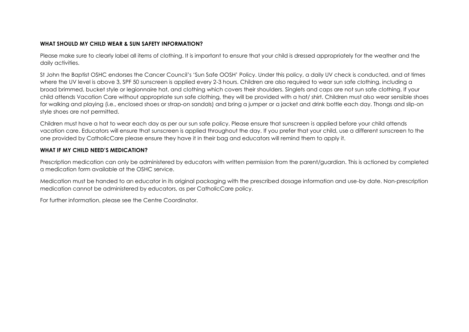#### **WHAT SHOULD MY CHILD WEAR & SUN SAFETY INFORMATION?**

Please make sure to clearly label all items of clothing. It is important to ensure that your child is dressed appropriately for the weather and the daily activities.

St John the Baptist OSHC endorses the Cancer Council's 'Sun Safe OOSH' Policy. Under this policy, a daily UV check is conducted, and at times where the UV level is above 3, SPF 50 sunscreen is applied every 2-3 hours. Children are also required to wear sun safe clothing, including a broad brimmed, bucket style or legionnaire hat, and clothing which covers their shoulders. Singlets and caps are not sun safe clothing. If your child attends Vacation Care without appropriate sun safe clothing, they will be provided with a hat/ shirt. Children must also wear sensible shoes for walking and playing (i.e., enclosed shoes or strap-on sandals) and bring a jumper or a jacket and drink bottle each day. Thongs and slip-on style shoes are not permitted.

Children must have a hat to wear each day as per our sun safe policy. Please ensure that sunscreen is applied before your child attends vacation care. Educators will ensure that sunscreen is applied throughout the day. If you prefer that your child, use a different sunscreen to the one provided by CatholicCare please ensure they have it in their bag and educators will remind them to apply it.

#### **WHAT IF MY CHILD NEED'S MEDICATION?**

Prescription medication can only be administered by educators with written permission from the parent/guardian. This is actioned by completed a medication form available at the OSHC service.

Medication must be handed to an educator in its original packaging with the prescribed dosage information and use-by date. Non-prescription medication cannot be administered by educators, as per CatholicCare policy.

For further information, please see the Centre Coordinator.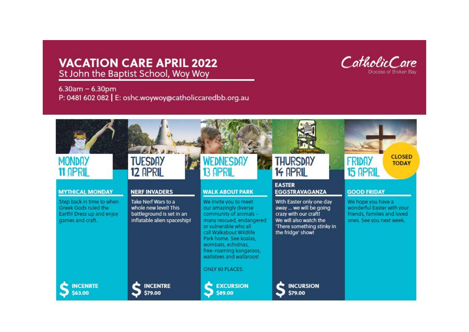# **VACATION CARE APRIL 2022** St John the Baptist School, Woy Woy



 $6.30am - 6.30pm$ P: 0481 602 082 | E: oshc.woywoy@catholiccaredbb.org.au

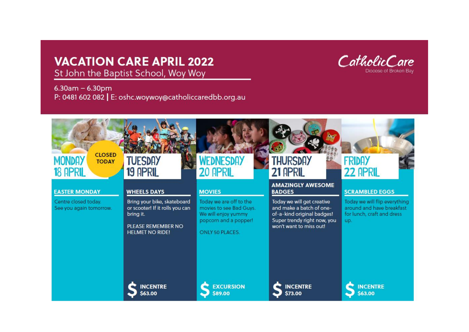# **VACATION CARE APRIL 2022**



St John the Baptist School, Woy Woy

 $6.30am - 6.30pm$ P: 0481 602 082 | E: oshc.woywoy@catholiccaredbb.org.au